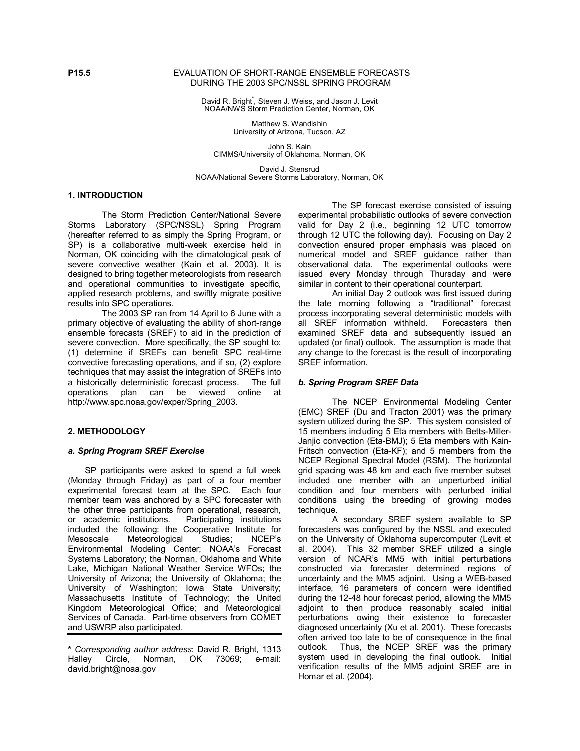#### **P15.5** EVALUATION OF SHORT-RANGE ENSEMBLE FORECASTS DURING THE 2003 SPC/NSSL SPRING PROGRAM

David R. Bright**\*** , Steven J. Weiss, and Jason J. Levit NOAA/NWS Storm Prediction Center, Norman, OK

> Matthew S. Wandishin University of Arizona, Tucson, AZ

John S. Kain CIMMS/University of Oklahoma, Norman, OK

David J. Stensrud NOAA/National Severe Storms Laboratory, Norman, OK

### **1. INTRODUCTION**

The Storm Prediction Center/National Severe Storms Laboratory (SPC/NSSL) Spring Program (hereafter referred to as simply the Spring Program, or SP) is a collaborative multi-week exercise held in Norman, OK coinciding with the climatological peak of severe convective weather (Kain et al. 2003). It is designed to bring together meteorologists from research and operational communities to investigate specific, applied research problems, and swiftly migrate positive results into SPC operations.

The 2003 SP ran from 14 April to 6 June with a primary objective of evaluating the ability of short-range ensemble forecasts (SREF) to aid in the prediction of severe convection. More specifically, the SP sought to: (1) determine if SREFs can benefit SPC real-time convective forecasting operations, and if so, (2) explore techniques that may assist the integration of SREFs into a historically deterministic forecast process. The full a historically deterministic forecast process. operations plan can be viewed online at http://www.spc.noaa.gov/exper/Spring\_2003.

# **2. METHODOLOGY**

# *a. Spring Program SREF Exercise*

 SP participants were asked to spend a full week (Monday through Friday) as part of a four member experimental forecast team at the SPC. Each four member team was anchored by a SPC forecaster with the other three participants from operational, research, or academic institutions. Participating institutions included the following: the Cooperative Institute for Mesoscale Meteorological Studies; NCEPís Environmental Modeling Center; NOAAís Forecast Systems Laboratory; the Norman, Oklahoma and White Lake, Michigan National Weather Service WFOs; the University of Arizona; the University of Oklahoma; the University of Washington; Iowa State University; Massachusetts Institute of Technology; the United Kingdom Meteorological Office; and Meteorological Services of Canada. Part-time observers from COMET and USWRP also participated.

The SP forecast exercise consisted of issuing experimental probabilistic outlooks of severe convection valid for Day 2 (i.e., beginning 12 UTC tomorrow through 12 UTC the following day). Focusing on Day 2 convection ensured proper emphasis was placed on numerical model and SREF guidance rather than observational data. The experimental outlooks were issued every Monday through Thursday and were similar in content to their operational counterpart.

An initial Day 2 outlook was first issued during the late morning following a "traditional" forecast process incorporating several deterministic models with all SREF information withheld. Forecasters then examined SREF data and subsequently issued an updated (or final) outlook. The assumption is made that any change to the forecast is the result of incorporating SREF information.

# *b. Spring Program SREF Data*

 The NCEP Environmental Modeling Center (EMC) SREF (Du and Tracton 2001) was the primary system utilized during the SP. This system consisted of 15 members including 5 Eta members with Betts-Miller-Janjic convection (Eta-BMJ); 5 Eta members with Kain-Fritsch convection (Eta-KF); and 5 members from the NCEP Regional Spectral Model (RSM). The horizontal grid spacing was 48 km and each five member subset included one member with an unperturbed initial condition and four members with perturbed initial conditions using the breeding of growing modes technique.

A secondary SREF system available to SP forecasters was configured by the NSSL and executed on the University of Oklahoma supercomputer (Levit et al. 2004). This 32 member SREF utilized a single version of NCAR's MM5 with initial perturbations constructed via forecaster determined regions of uncertainty and the MM5 adjoint. Using a WEB-based interface, 16 parameters of concern were identified during the 12-48 hour forecast period, allowing the MM5 adjoint to then produce reasonably scaled initial perturbations owing their existence to forecaster diagnosed uncertainty (Xu et al. 2001). These forecasts often arrived too late to be of consequence in the final outlook. Thus, the NCEP SREF was the primary system used in developing the final outlook. Initial verification results of the MM5 adjoint SREF are in Homar et al. (2004).

**<sup>\*</sup>** *Corresponding author address*: David R. Bright, 1313 Halley Circle, Norman, OK 73069; e-mail: david.bright@noaa.gov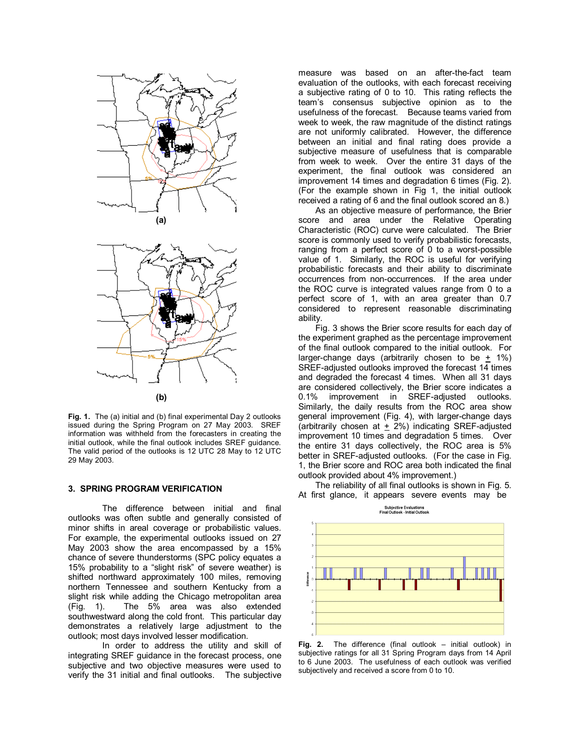



**Fig. 1.** The (a) initial and (b) final experimental Day 2 outlooks issued during the Spring Program on 27 May 2003. SREF information was withheld from the forecasters in creating the initial outlook, while the final outlook includes SREF guidance. The valid period of the outlooks is 12 UTC 28 May to 12 UTC 29 May 2003.

#### **3. SPRING PROGRAM VERIFICATION**

The difference between initial and final outlooks was often subtle and generally consisted of minor shifts in areal coverage or probabilistic values. For example, the experimental outlooks issued on 27 May 2003 show the area encompassed by a 15% chance of severe thunderstorms (SPC policy equates a 15% probability to a "slight risk" of severe weather) is shifted northward approximately 100 miles, removing northern Tennessee and southern Kentucky from a slight risk while adding the Chicago metropolitan area (Fig. 1). The 5% area was also extended southwestward along the cold front. This particular day demonstrates a relatively large adjustment to the outlook; most days involved lesser modification.

In order to address the utility and skill of integrating SREF guidance in the forecast process, one subjective and two objective measures were used to verify the 31 initial and final outlooks. The subjective measure was based on an after-the-fact team evaluation of the outlooks, with each forecast receiving a subjective rating of 0 to 10. This rating reflects the teamís consensus subjective opinion as to the usefulness of the forecast. Because teams varied from week to week, the raw magnitude of the distinct ratings are not uniformly calibrated. However, the difference between an initial and final rating does provide a subjective measure of usefulness that is comparable from week to week. Over the entire 31 days of the experiment, the final outlook was considered an improvement 14 times and degradation 6 times (Fig. 2). (For the example shown in Fig 1, the initial outlook received a rating of 6 and the final outlook scored an 8.)

As an objective measure of performance, the Brier score and area under the Relative Operating Characteristic (ROC) curve were calculated. The Brier score is commonly used to verify probabilistic forecasts, ranging from a perfect score of 0 to a worst-possible value of 1. Similarly, the ROC is useful for verifying probabilistic forecasts and their ability to discriminate occurrences from non-occurrences. If the area under the ROC curve is integrated values range from 0 to a perfect score of 1, with an area greater than 0.7 considered to represent reasonable discriminating ability.

Fig. 3 shows the Brier score results for each day of the experiment graphed as the percentage improvement of the final outlook compared to the initial outlook. For larger-change days (arbitrarily chosen to be  $+$  1%) SREF-adjusted outlooks improved the forecast 14 times and degraded the forecast 4 times. When all 31 days are considered collectively, the Brier score indicates a 0.1% improvement in SREF-adjusted outlooks. Similarly, the daily results from the ROC area show general improvement (Fig. 4), with larger-change days (arbitrarily chosen at  $\pm$  2%) indicating SREF-adjusted improvement 10 times and degradation 5 times. Over the entire 31 days collectively, the ROC area is 5% better in SREF-adjusted outlooks. (For the case in Fig. 1, the Brier score and ROC area both indicated the final outlook provided about 4% improvement.)

The reliability of all final outlooks is shown in Fig. 5. At first glance, it appears severe events may be



**Fig. 2.** The difference (final outlook – initial outlook) in subjective ratings for all 31 Spring Program days from 14 April to 6 June 2003. The usefulness of each outlook was verified subjectively and received a score from 0 to 10.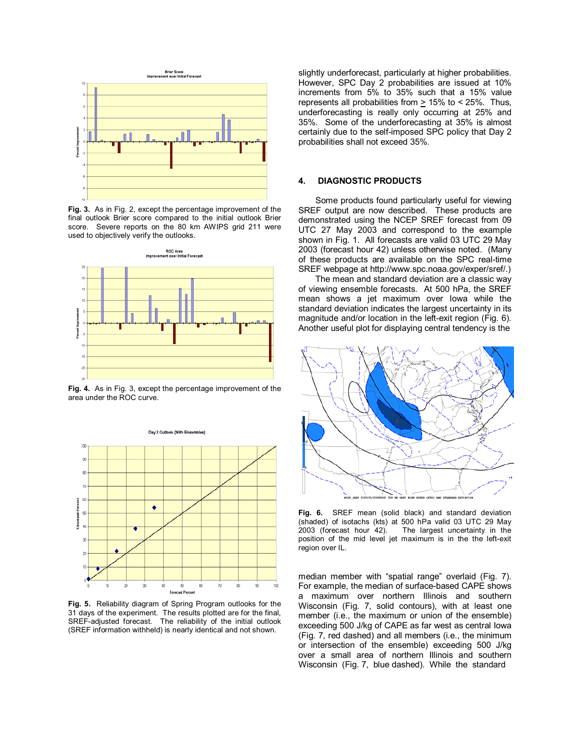

**Fig. 3.** As in Fig. 2, except the percentage improvement of the final outlook Brier score compared to the initial outlook Brier score. Severe reports on the 80 km AWIPS grid 211 were used to objectively verify the outlooks.



**Fig. 4.** As in Fig. 3, except the percentage improvement of the area under the ROC curve.



**Fig. 5.** Reliability diagram of Spring Program outlooks for the 31 days of the experiment. The results plotted are for the final, SREF-adjusted forecast. The reliability of the initial outlook (SREF information withheld) is nearly identical and not shown.

slightly underforecast, particularly at higher probabilities. However, SPC Day 2 probabilities are issued at 10% increments from 5% to 35% such that a 15% value represents all probabilities from > 15% to < 25%. Thus, underforecasting is really only occurring at 25% and 35%. Some of the underforecasting at 35% is almost certainly due to the self-imposed SPC policy that Day 2 probabilities shall not exceed 35%.

#### **4. DIAGNOSTIC PRODUCTS**

Some products found particularly useful for viewing SREF output are now described. These products are demonstrated using the NCEP SREF forecast from 09 UTC 27 May 2003 and correspond to the example shown in Fig. 1. All forecasts are valid 03 UTC 29 May 2003 (forecast hour 42) unless otherwise noted. (Many of these products are available on the SPC real-time SREF webpage at http://www.spc.noaa.gov/exper/sref/.)

The mean and standard deviation are a classic way of viewing ensemble forecasts. At 500 hPa, the SREF mean shows a jet maximum over Iowa while the standard deviation indicates the largest uncertainty in its magnitude and/or location in the left-exit region (Fig. 6). Another useful plot for displaying central tendency is the



**Fig. 6.** SREF mean (solid black) and standard deviation (shaded) of isotachs (kts) at 500 hPa valid 03 UTC 29 May<br>2003 (forecast hour 42). The largest uncertainty in the The largest uncertainty in the position of the mid level jet maximum is in the the left-exit region over IL.

median member with "spatial range" overlaid (Fig. 7). For example, the median of surface-based CAPE shows a maximum over northern Illinois and southern Wisconsin (Fig. 7, solid contours), with at least one member (i.e., the maximum or union of the ensemble) exceeding 500 J/kg of CAPE as far west as central Iowa (Fig. 7, red dashed) and all members (i.e., the minimum or intersection of the ensemble) exceeding 500 J/kg over a small area of northern Illinois and southern Wisconsin (Fig. 7, blue dashed). While the standard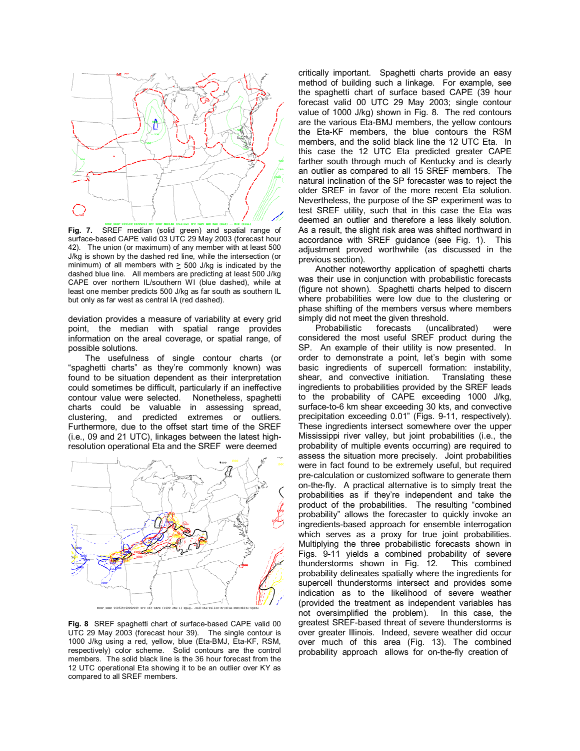

**Fig. 7.** SREF median (solid green) and spatial range of surface-based CAPE valid 03 UTC 29 May 2003 (forecast hour 42). The union (or maximum) of any member with at least 500 J/kg is shown by the dashed red line, while the intersection (or minimum) of all members with  $\geq$  500 J/kg is indicated by the dashed blue line. All members are predicting at least 500 J/kg CAPE over northern IL/southern WI (blue dashed), while at least one member predicts 500 J/kg as far south as southern IL but only as far west as central IA (red dashed).

deviation provides a measure of variability at every grid point, the median with spatial range provides information on the areal coverage, or spatial range, of possible solutions.

The usefulness of single contour charts (or "spaghetti charts" as they're commonly known) was found to be situation dependent as their interpretation could sometimes be difficult, particularly if an ineffective contour value were selected. Nonetheless, spaghetti charts could be valuable in assessing spread, clustering, and predicted extremes or outliers. Furthermore, due to the offset start time of the SREF (i.e., 09 and 21 UTC), linkages between the latest highresolution operational Eta and the SREF were deemed



**Fig. 8** SREF spaghetti chart of surface-based CAPE valid 00 UTC 29 May 2003 (forecast hour 39). The single contour is 1000 J/kg using a red, yellow, blue (Eta-BMJ, Eta-KF, RSM, respectively) color scheme. Solid contours are the control members. The solid black line is the 36 hour forecast from the 12 UTC operational Eta showing it to be an outlier over KY as compared to all SREF members.

critically important. Spaghetti charts provide an easy method of building such a linkage. For example, see the spaghetti chart of surface based CAPE (39 hour forecast valid 00 UTC 29 May 2003; single contour value of 1000 J/kg) shown in Fig. 8. The red contours are the various Eta-BMJ members, the yellow contours the Eta-KF members, the blue contours the RSM members, and the solid black line the 12 UTC Eta. In this case the 12 UTC Eta predicted greater CAPE farther south through much of Kentucky and is clearly an outlier as compared to all 15 SREF members. The natural inclination of the SP forecaster was to reject the older SREF in favor of the more recent Eta solution. Nevertheless, the purpose of the SP experiment was to test SREF utility, such that in this case the Eta was deemed an outlier and therefore a less likely solution. As a result, the slight risk area was shifted northward in accordance with SREF guidance (see Fig. 1). This adjustment proved worthwhile (as discussed in the previous section).

Another noteworthy application of spaghetti charts was their use in conjunction with probabilistic forecasts (figure not shown). Spaghetti charts helped to discern where probabilities were low due to the clustering or phase shifting of the members versus where members simply did not meet the given threshold.

Probabilistic forecasts (uncalibrated) were considered the most useful SREF product during the SP. An example of their utility is now presented. In order to demonstrate a point, let's begin with some basic ingredients of supercell formation: instability, shear, and convective initiation. Translating these ingredients to probabilities provided by the SREF leads to the probability of CAPE exceeding 1000 J/kg, surface-to-6 km shear exceeding 30 kts, and convective precipitation exceeding 0.01" (Figs. 9-11, respectively). These ingredients intersect somewhere over the upper Mississippi river valley, but joint probabilities (i.e., the probability of multiple events occurring) are required to assess the situation more precisely. Joint probabilities were in fact found to be extremely useful, but required pre-calculation or customized software to generate them on-the-fly. A practical alternative is to simply treat the probabilities as if they're independent and take the product of the probabilities. The resulting "combined probabilityî allows the forecaster to quickly invoke an ingredients-based approach for ensemble interrogation which serves as a proxy for true joint probabilities. Multiplying the three probabilistic forecasts shown in Figs. 9-11 yields a combined probability of severe thunderstorms shown in Fig. 12. This combined probability delineates spatially where the ingredients for supercell thunderstorms intersect and provides some indication as to the likelihood of severe weather (provided the treatment as independent variables has not oversimplified the problem). In this case, the greatest SREF-based threat of severe thunderstorms is over greater Illinois. Indeed, severe weather did occur over much of this area (Fig. 13). The combined probability approach allows for on-the-fly creation of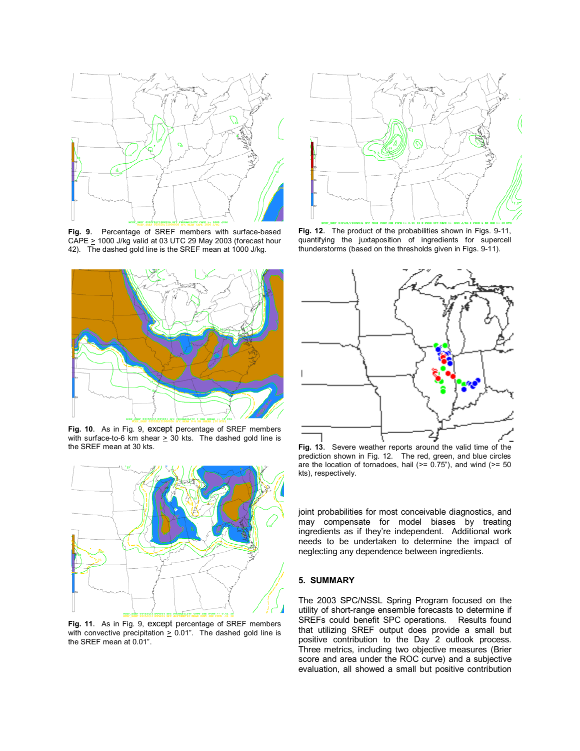

**Fig. 9**. Percentage of SREF members with surface-based CAPE  $\geq$  1000 J/kg valid at 03 UTC 29 May 2003 (forecast hour 42). The dashed gold line is the SREF mean at 1000 J/kg.



**Fig. 10**. As in Fig. 9, except percentage of SREF members with surface-to-6 km shear  $\geq$  30 kts. The dashed gold line is the SREF mean at 30 kts.



**Fig. 11**. As in Fig. 9, except percentage of SREF members with convective precipitation  $\geq$  0.01". The dashed gold line is the SREF mean at 0.01".



**Fig. 12**. The product of the probabilities shown in Figs. 9-11, quantifying the juxtaposition of ingredients for supercell thunderstorms (based on the thresholds given in Figs. 9-11).



**Fig. 13**. Severe weather reports around the valid time of the prediction shown in Fig. 12. The red, green, and blue circles are the location of tornadoes, hail  $(>= 0.75)$ , and wind  $(>= 50$ kts), respectively.

joint probabilities for most conceivable diagnostics, and may compensate for model biases by treating ingredients as if they're independent. Additional work needs to be undertaken to determine the impact of neglecting any dependence between ingredients.

### **5. SUMMARY**

The 2003 SPC/NSSL Spring Program focused on the utility of short-range ensemble forecasts to determine if SREFs could benefit SPC operations. Results found that utilizing SREF output does provide a small but positive contribution to the Day 2 outlook process. Three metrics, including two objective measures (Brier score and area under the ROC curve) and a subjective evaluation, all showed a small but positive contribution